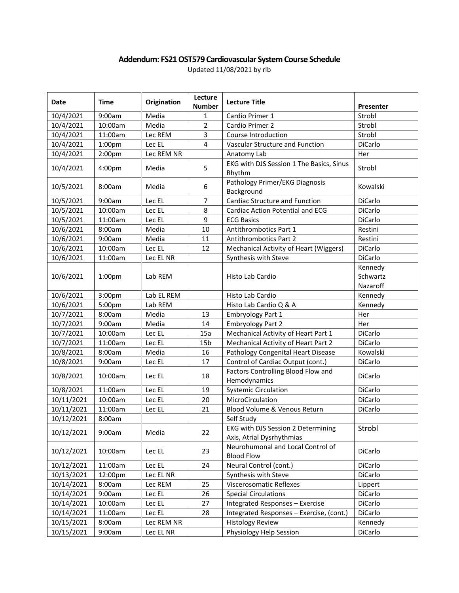## **Addendum: FS21OST579 Cardiovascular System Course Schedule**

Updated 11/08/2021 by rlb

| Date       | <b>Time</b>        | Origination | Lecture<br><b>Number</b> | <b>Lecture Title</b>                                            | Presenter                       |
|------------|--------------------|-------------|--------------------------|-----------------------------------------------------------------|---------------------------------|
| 10/4/2021  | 9:00am             | Media       | $\mathbf{1}$             | Cardio Primer 1                                                 | Strobl                          |
| 10/4/2021  | 10:00am            | Media       | $\overline{2}$           | Cardio Primer 2                                                 | Strobl                          |
| 10/4/2021  | 11:00am            | Lec REM     | 3                        | Course Introduction                                             | Strobl                          |
| 10/4/2021  | 1:00 <sub>pm</sub> | Lec EL      | 4                        | Vascular Structure and Function                                 | DiCarlo                         |
| 10/4/2021  | 2:00 <sub>pm</sub> | Lec REM NR  |                          | Anatomy Lab                                                     | Her                             |
| 10/4/2021  | 4:00pm             | Media       | 5                        | EKG with DJS Session 1 The Basics, Sinus<br>Rhythm              | Strobl                          |
| 10/5/2021  | 8:00am             | Media       | 6                        | Pathology Primer/EKG Diagnosis<br>Background                    | Kowalski                        |
| 10/5/2021  | 9:00am             | Lec EL      | $\overline{7}$           | <b>Cardiac Structure and Function</b>                           | DiCarlo                         |
| 10/5/2021  | 10:00am            | Lec EL      | 8                        | Cardiac Action Potential and ECG                                | DiCarlo                         |
| 10/5/2021  | 11:00am            | Lec EL      | 9                        | <b>ECG Basics</b>                                               | DiCarlo                         |
| 10/6/2021  | 8:00am             | Media       | 10                       | Antithrombotics Part 1                                          | Restini                         |
| 10/6/2021  | 9:00am             | Media       | 11                       | Antithrombotics Part 2                                          | Restini                         |
| 10/6/2021  | 10:00am            | Lec EL      | 12                       | Mechanical Activity of Heart (Wiggers)                          | DiCarlo                         |
| 10/6/2021  | 11:00am            | Lec EL NR   |                          | Synthesis with Steve                                            | DiCarlo                         |
| 10/6/2021  | 1:00 <sub>pm</sub> | Lab REM     |                          | Histo Lab Cardio                                                | Kennedy<br>Schwartz<br>Nazaroff |
| 10/6/2021  | 3:00pm             | Lab EL REM  |                          | Histo Lab Cardio                                                | Kennedy                         |
| 10/6/2021  | 5:00pm             | Lab REM     |                          | Histo Lab Cardio Q & A                                          | Kennedy                         |
| 10/7/2021  | 8:00am             | Media       | 13                       | Embryology Part 1                                               | Her                             |
| 10/7/2021  | 9:00am             | Media       | 14                       | <b>Embryology Part 2</b>                                        | Her                             |
| 10/7/2021  | 10:00am            | Lec EL      | 15a                      | Mechanical Activity of Heart Part 1                             | DiCarlo                         |
| 10/7/2021  | 11:00am            | Lec EL      | 15 <sub>b</sub>          | Mechanical Activity of Heart Part 2                             | DiCarlo                         |
| 10/8/2021  | 8:00am             | Media       | 16                       | Pathology Congenital Heart Disease                              | Kowalski                        |
| 10/8/2021  | 9:00am             | Lec EL      | 17                       | Control of Cardiac Output (cont.)                               | DiCarlo                         |
| 10/8/2021  | 10:00am            | Lec EL      | 18                       | <b>Factors Controlling Blood Flow and</b><br>Hemodynamics       | DiCarlo                         |
| 10/8/2021  | 11:00am            | Lec EL      | 19                       | <b>Systemic Circulation</b>                                     | DiCarlo                         |
| 10/11/2021 | 10:00am            | Lec EL      | 20                       | MicroCirculation                                                | DiCarlo                         |
| 10/11/2021 | 11:00am            | Lec EL      | 21                       | Blood Volume & Venous Return                                    | DiCarlo                         |
| 10/12/2021 | 8:00am             |             |                          | Self Study                                                      |                                 |
| 10/12/2021 | 9:00am             | Media       | 22                       | EKG with DJS Session 2 Determining<br>Axis, Atrial Dysrhythmias | Strobl                          |
| 10/12/2021 | 10:00am            | Lec EL      | 23                       | Neurohumonal and Local Control of<br><b>Blood Flow</b>          | DiCarlo                         |
| 10/12/2021 | 11:00am            | Lec EL      | 24                       | Neural Control (cont.)                                          | DiCarlo                         |
| 10/13/2021 | 12:00pm            | Lec EL NR   |                          | Synthesis with Steve                                            | DiCarlo                         |
| 10/14/2021 | 8:00am             | Lec REM     | 25                       | Viscerosomatic Reflexes                                         | Lippert                         |
| 10/14/2021 | 9:00am             | Lec EL      | 26                       | <b>Special Circulations</b>                                     | DiCarlo                         |
| 10/14/2021 | 10:00am            | Lec EL      | 27                       | Integrated Responses - Exercise                                 | DiCarlo                         |
| 10/14/2021 | 11:00am            | Lec EL      | 28                       | Integrated Responses - Exercise, (cont.)                        | DiCarlo                         |
| 10/15/2021 | 8:00am             | Lec REM NR  |                          | <b>Histology Review</b>                                         | Kennedy                         |
| 10/15/2021 | 9:00am             | Lec EL NR   |                          | Physiology Help Session                                         | DiCarlo                         |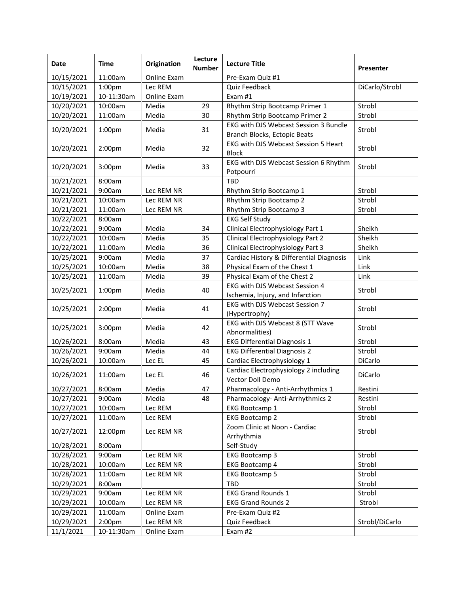| Date       | <b>Time</b>        | Origination | Lecture<br><b>Number</b> | <b>Lecture Title</b>                                               | Presenter      |
|------------|--------------------|-------------|--------------------------|--------------------------------------------------------------------|----------------|
| 10/15/2021 | 11:00am            | Online Exam |                          | Pre-Exam Quiz #1                                                   |                |
| 10/15/2021 | 1:00 <sub>pm</sub> | Lec REM     |                          | Quiz Feedback                                                      | DiCarlo/Strobl |
| 10/19/2021 | 10-11:30am         | Online Exam |                          | Exam #1                                                            |                |
| 10/20/2021 | 10:00am            | Media       | 29                       | Rhythm Strip Bootcamp Primer 1                                     | Strobl         |
| 10/20/2021 | 11:00am            | Media       | 30                       | Rhythm Strip Bootcamp Primer 2                                     | Strobl         |
|            |                    |             |                          | EKG with DJS Webcast Session 3 Bundle                              |                |
| 10/20/2021 | 1:00pm             | Media       | 31                       | Branch Blocks, Ectopic Beats                                       | Strobl         |
| 10/20/2021 | 2:00 <sub>pm</sub> | Media       | 32                       | EKG with DJS Webcast Session 5 Heart<br><b>Block</b>               | Strobl         |
| 10/20/2021 | 3:00pm             | Media       | 33                       | EKG with DJS Webcast Session 6 Rhythm<br>Potpourri                 | Strobl         |
| 10/21/2021 | 8:00am             |             |                          | <b>TBD</b>                                                         |                |
| 10/21/2021 | 9:00am             | Lec REM NR  |                          | Rhythm Strip Bootcamp 1                                            | Strobl         |
| 10/21/2021 | 10:00am            | Lec REM NR  |                          | Rhythm Strip Bootcamp 2                                            | Strobl         |
| 10/21/2021 | 11:00am            | Lec REM NR  |                          | Rhythm Strip Bootcamp 3                                            | Strobl         |
| 10/22/2021 | 8:00am             |             |                          | <b>EKG Self Study</b>                                              |                |
| 10/22/2021 | 9:00am             | Media       | 34                       | Clinical Electrophysiology Part 1                                  | Sheikh         |
| 10/22/2021 | 10:00am            | Media       | 35                       | Clinical Electrophysiology Part 2                                  | Sheikh         |
| 10/22/2021 | 11:00am            | Media       | 36                       | Clinical Electrophysiology Part 3                                  | Sheikh         |
| 10/25/2021 | 9:00am             | Media       | 37                       | Cardiac History & Differential Diagnosis                           | Link           |
| 10/25/2021 | 10:00am            | Media       | 38                       | Physical Exam of the Chest 1                                       | Link           |
| 10/25/2021 | 11:00am            | Media       | 39                       | Physical Exam of the Chest 2                                       | Link           |
| 10/25/2021 | 1:00 <sub>pm</sub> | Media       | 40                       | EKG with DJS Webcast Session 4<br>Ischemia, Injury, and Infarction | Strobl         |
| 10/25/2021 | 2:00 <sub>pm</sub> | Media       | 41                       | EKG with DJS Webcast Session 7<br>(Hypertrophy)                    | Strobl         |
| 10/25/2021 | 3:00pm             | Media       | 42                       | EKG with DJS Webcast 8 (STT Wave<br>Abnormalities)                 | Strobl         |
| 10/26/2021 | 8:00am             | Media       | 43                       | <b>EKG Differential Diagnosis 1</b>                                | Strobl         |
| 10/26/2021 | 9:00am             | Media       | 44                       | <b>EKG Differential Diagnosis 2</b>                                | Strobl         |
| 10/26/2021 | 10:00am            | Lec EL      | 45                       | Cardiac Electrophysiology 1                                        | DiCarlo        |
| 10/26/2021 | 11:00am            | Lec EL      | 46                       | Cardiac Electrophysiology 2 including<br>Vector Doll Demo          | DiCarlo        |
| 10/27/2021 | 8:00am             | Media       | 47                       | Pharmacology - Anti-Arrhythmics 1                                  | Restini        |
| 10/27/2021 | 9:00am             | Media       | 48                       | Pharmacology- Anti-Arrhythmics 2                                   | Restini        |
| 10/27/2021 | 10:00am            | Lec REM     |                          | EKG Bootcamp 1                                                     | Strobl         |
| 10/27/2021 | 11:00am            | Lec REM     |                          | EKG Bootcamp 2                                                     | Strobl         |
| 10/27/2021 | 12:00pm            | Lec REM NR  |                          | Zoom Clinic at Noon - Cardiac<br>Arrhythmia                        | Strobl         |
| 10/28/2021 | 8:00am             |             |                          | Self-Study                                                         |                |
| 10/28/2021 | 9:00am             | Lec REM NR  |                          | <b>EKG Bootcamp 3</b>                                              | Strobl         |
| 10/28/2021 | 10:00am            | Lec REM NR  |                          | <b>EKG Bootcamp 4</b>                                              | Strobl         |
| 10/28/2021 | 11:00am            | Lec REM NR  |                          | <b>EKG Bootcamp 5</b>                                              | Strobl         |
| 10/29/2021 | 8:00am             |             |                          | <b>TBD</b>                                                         | Strobl         |
| 10/29/2021 | 9:00am             | Lec REM NR  |                          | <b>EKG Grand Rounds 1</b>                                          | Strobl         |
| 10/29/2021 | 10:00am            | Lec REM NR  |                          | <b>EKG Grand Rounds 2</b>                                          | Strobl         |
| 10/29/2021 | 11:00am            | Online Exam |                          | Pre-Exam Quiz #2                                                   |                |
| 10/29/2021 | 2:00 <sub>pm</sub> | Lec REM NR  |                          | Quiz Feedback                                                      | Strobl/DiCarlo |
| 11/1/2021  | 10-11:30am         | Online Exam |                          | Exam #2                                                            |                |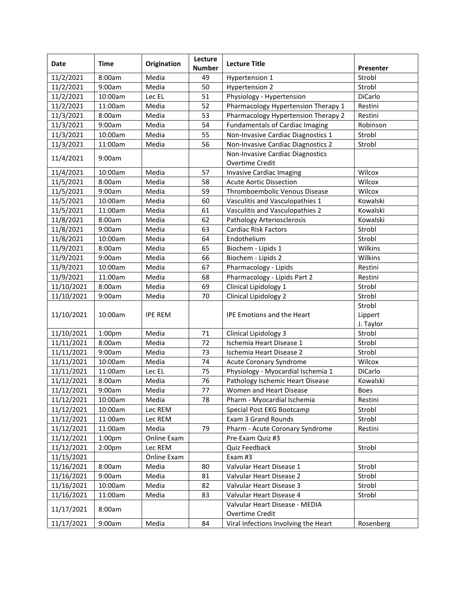| 11/2/2021<br>8:00am<br>Media<br>49<br>Strobl<br>Hypertension 1<br>9:00am<br>Media<br>50<br>Strobl<br>11/2/2021<br>Hypertension 2<br>11/2/2021<br>51<br>Physiology - Hypertension<br>10:00am<br>Lec EL<br>DiCarlo<br>Pharmacology Hypertension Therapy 1<br>11/2/2021<br>52<br>11:00am<br>Media<br>Restini<br>53<br>11/3/2021<br>8:00am<br>Pharmacology Hypertension Therapy 2<br>Media<br>Restini<br><b>Fundamentals of Cardiac Imaging</b><br>11/3/2021<br>9:00am<br>Media<br>54<br>Robinson<br>11/3/2021<br>10:00am<br>Media<br>55<br>Non-Invasive Cardiac Diagnostics 1<br>Strobl<br>11/3/2021<br>56<br>Non-Invasive Cardiac Diagnostics 2<br>11:00am<br>Media<br>Strobl<br>Non-Invasive Cardiac Diagnostics<br>11/4/2021<br>9:00am<br>Overtime Credit<br>Wilcox<br>11/4/2021<br>10:00am<br>Media<br><b>Invasive Cardiac Imaging</b><br>57<br>11/5/2021<br>Wilcox<br>8:00am<br>Media<br>58<br><b>Acute Aortic Dissection</b><br>11/5/2021<br>9:00am<br>Media<br>59<br>Thromboembolic Venous Disease<br>Wilcox<br>11/5/2021<br>10:00am<br>Media<br>60<br>Vasculitis and Vasculopathies 1<br>Kowalski<br>11/5/2021<br>61<br>11:00am<br>Media<br>Vasculitis and Vasculopathies 2<br>Kowalski<br>62<br>11/8/2021<br>8:00am<br>Media<br>Pathology Arteriosclerosis<br>Kowalski<br>11/8/2021<br>9:00am<br>63<br><b>Cardiac Risk Factors</b><br>Strobl<br>Media<br>11/8/2021<br>Media<br>64<br>Endothelium<br>Strobl<br>10:00am<br>11/9/2021<br>8:00am<br>Media<br>65<br>Biochem - Lipids 1<br>Wilkins<br>11/9/2021<br>9:00am<br>Wilkins<br>Media<br>66<br>Biochem - Lipids 2<br>11/9/2021<br>67<br>Pharmacology - Lipids<br>10:00am<br>Media<br>Restini<br>11/9/2021<br>Pharmacology - Lipids Part 2<br>11:00am<br>Media<br>68<br>Restini<br>69<br>Clinical Lipidology 1<br>11/10/2021<br>8:00am<br>Strobl<br>Media<br>Clinical Lipidology 2<br>Strobl<br>11/10/2021<br>9:00am<br>Media<br>70<br>Strobl<br>11/10/2021<br>10:00am<br><b>IPE REM</b><br><b>IPE Emotions and the Heart</b><br>Lippert<br>J. Taylor<br>11/10/2021<br>1:00 <sub>pm</sub><br>Media<br>71<br>Clinical Lipidology 3<br>Strobl<br>11/11/2021<br>8:00am<br>Media<br>72<br>Ischemia Heart Disease 1<br>Strobl<br>11/11/2021<br>9:00am<br>Media<br>73<br>Ischemia Heart Disease 2<br>Strobl<br>11/11/2021<br>10:00am<br>Media<br>74<br>Acute Coronary Syndrome<br>Wilcox<br>11/11/2021<br>11:00am<br>75<br>Physiology - Myocardial Ischemia 1<br>Lec EL<br>DiCarlo<br>Pathology Ischemic Heart Disease<br>11/12/2021<br>8:00am<br>76<br>Media<br>Kowalski<br>77<br>11/12/2021<br>Media<br>9:00am<br>Women and Heart Disease<br>Boes<br>78<br>11/12/2021<br>10:00am<br>Media<br>Pharm - Myocardial Ischemia<br>Restini<br>11/12/2021<br>10:00am<br>Lec REM<br>Special Post EKG Bootcamp<br>Strobl<br>Exam 3 Grand Rounds<br>11/12/2021<br>11:00am<br>Lec REM<br>Strobl<br>11/12/2021<br>11:00am<br>Media<br>79<br>Pharm - Acute Coronary Syndrome<br>Restini<br>11/12/2021<br>1:00 <sub>pm</sub><br>Online Exam<br>Pre-Exam Quiz #3<br>11/12/2021<br>Lec REM<br>Quiz Feedback<br>Strobl<br>2:00 <sub>pm</sub><br>11/15/2021<br>Exam #3<br>Online Exam<br>8:00am<br>11/16/2021<br>Media<br>80<br>Strobl<br>Valvular Heart Disease 1<br>11/16/2021<br>9:00am<br>Media<br>81<br>Valvular Heart Disease 2<br>Strobl<br>11/16/2021<br>10:00am<br>Media<br>82<br>Valvular Heart Disease 3<br>Strobl<br>11/16/2021<br>Media<br>83<br>11:00am<br>Valvular Heart Disease 4<br>Strobl<br>Valvular Heart Disease - MEDIA<br>11/17/2021<br>8:00am<br>Overtime Credit | Date       | <b>Time</b> | Origination | Lecture<br><b>Number</b> | <b>Lecture Title</b>                 | Presenter |
|--------------------------------------------------------------------------------------------------------------------------------------------------------------------------------------------------------------------------------------------------------------------------------------------------------------------------------------------------------------------------------------------------------------------------------------------------------------------------------------------------------------------------------------------------------------------------------------------------------------------------------------------------------------------------------------------------------------------------------------------------------------------------------------------------------------------------------------------------------------------------------------------------------------------------------------------------------------------------------------------------------------------------------------------------------------------------------------------------------------------------------------------------------------------------------------------------------------------------------------------------------------------------------------------------------------------------------------------------------------------------------------------------------------------------------------------------------------------------------------------------------------------------------------------------------------------------------------------------------------------------------------------------------------------------------------------------------------------------------------------------------------------------------------------------------------------------------------------------------------------------------------------------------------------------------------------------------------------------------------------------------------------------------------------------------------------------------------------------------------------------------------------------------------------------------------------------------------------------------------------------------------------------------------------------------------------------------------------------------------------------------------------------------------------------------------------------------------------------------------------------------------------------------------------------------------------------------------------------------------------------------------------------------------------------------------------------------------------------------------------------------------------------------------------------------------------------------------------------------------------------------------------------------------------------------------------------------------------------------------------------------------------------------------------------------------------------------------------------------------------------------------------------------------------------------------------------------------------------------------------------------------------------------------------------------------------------------------------------------------------------------------------------------------------------------------------------------------------------------------------------------------------------|------------|-------------|-------------|--------------------------|--------------------------------------|-----------|
|                                                                                                                                                                                                                                                                                                                                                                                                                                                                                                                                                                                                                                                                                                                                                                                                                                                                                                                                                                                                                                                                                                                                                                                                                                                                                                                                                                                                                                                                                                                                                                                                                                                                                                                                                                                                                                                                                                                                                                                                                                                                                                                                                                                                                                                                                                                                                                                                                                                                                                                                                                                                                                                                                                                                                                                                                                                                                                                                                                                                                                                                                                                                                                                                                                                                                                                                                                                                                                                                                                                          |            |             |             |                          |                                      |           |
|                                                                                                                                                                                                                                                                                                                                                                                                                                                                                                                                                                                                                                                                                                                                                                                                                                                                                                                                                                                                                                                                                                                                                                                                                                                                                                                                                                                                                                                                                                                                                                                                                                                                                                                                                                                                                                                                                                                                                                                                                                                                                                                                                                                                                                                                                                                                                                                                                                                                                                                                                                                                                                                                                                                                                                                                                                                                                                                                                                                                                                                                                                                                                                                                                                                                                                                                                                                                                                                                                                                          |            |             |             |                          |                                      |           |
|                                                                                                                                                                                                                                                                                                                                                                                                                                                                                                                                                                                                                                                                                                                                                                                                                                                                                                                                                                                                                                                                                                                                                                                                                                                                                                                                                                                                                                                                                                                                                                                                                                                                                                                                                                                                                                                                                                                                                                                                                                                                                                                                                                                                                                                                                                                                                                                                                                                                                                                                                                                                                                                                                                                                                                                                                                                                                                                                                                                                                                                                                                                                                                                                                                                                                                                                                                                                                                                                                                                          |            |             |             |                          |                                      |           |
|                                                                                                                                                                                                                                                                                                                                                                                                                                                                                                                                                                                                                                                                                                                                                                                                                                                                                                                                                                                                                                                                                                                                                                                                                                                                                                                                                                                                                                                                                                                                                                                                                                                                                                                                                                                                                                                                                                                                                                                                                                                                                                                                                                                                                                                                                                                                                                                                                                                                                                                                                                                                                                                                                                                                                                                                                                                                                                                                                                                                                                                                                                                                                                                                                                                                                                                                                                                                                                                                                                                          |            |             |             |                          |                                      |           |
|                                                                                                                                                                                                                                                                                                                                                                                                                                                                                                                                                                                                                                                                                                                                                                                                                                                                                                                                                                                                                                                                                                                                                                                                                                                                                                                                                                                                                                                                                                                                                                                                                                                                                                                                                                                                                                                                                                                                                                                                                                                                                                                                                                                                                                                                                                                                                                                                                                                                                                                                                                                                                                                                                                                                                                                                                                                                                                                                                                                                                                                                                                                                                                                                                                                                                                                                                                                                                                                                                                                          |            |             |             |                          |                                      |           |
|                                                                                                                                                                                                                                                                                                                                                                                                                                                                                                                                                                                                                                                                                                                                                                                                                                                                                                                                                                                                                                                                                                                                                                                                                                                                                                                                                                                                                                                                                                                                                                                                                                                                                                                                                                                                                                                                                                                                                                                                                                                                                                                                                                                                                                                                                                                                                                                                                                                                                                                                                                                                                                                                                                                                                                                                                                                                                                                                                                                                                                                                                                                                                                                                                                                                                                                                                                                                                                                                                                                          |            |             |             |                          |                                      |           |
|                                                                                                                                                                                                                                                                                                                                                                                                                                                                                                                                                                                                                                                                                                                                                                                                                                                                                                                                                                                                                                                                                                                                                                                                                                                                                                                                                                                                                                                                                                                                                                                                                                                                                                                                                                                                                                                                                                                                                                                                                                                                                                                                                                                                                                                                                                                                                                                                                                                                                                                                                                                                                                                                                                                                                                                                                                                                                                                                                                                                                                                                                                                                                                                                                                                                                                                                                                                                                                                                                                                          |            |             |             |                          |                                      |           |
|                                                                                                                                                                                                                                                                                                                                                                                                                                                                                                                                                                                                                                                                                                                                                                                                                                                                                                                                                                                                                                                                                                                                                                                                                                                                                                                                                                                                                                                                                                                                                                                                                                                                                                                                                                                                                                                                                                                                                                                                                                                                                                                                                                                                                                                                                                                                                                                                                                                                                                                                                                                                                                                                                                                                                                                                                                                                                                                                                                                                                                                                                                                                                                                                                                                                                                                                                                                                                                                                                                                          |            |             |             |                          |                                      |           |
|                                                                                                                                                                                                                                                                                                                                                                                                                                                                                                                                                                                                                                                                                                                                                                                                                                                                                                                                                                                                                                                                                                                                                                                                                                                                                                                                                                                                                                                                                                                                                                                                                                                                                                                                                                                                                                                                                                                                                                                                                                                                                                                                                                                                                                                                                                                                                                                                                                                                                                                                                                                                                                                                                                                                                                                                                                                                                                                                                                                                                                                                                                                                                                                                                                                                                                                                                                                                                                                                                                                          |            |             |             |                          |                                      |           |
|                                                                                                                                                                                                                                                                                                                                                                                                                                                                                                                                                                                                                                                                                                                                                                                                                                                                                                                                                                                                                                                                                                                                                                                                                                                                                                                                                                                                                                                                                                                                                                                                                                                                                                                                                                                                                                                                                                                                                                                                                                                                                                                                                                                                                                                                                                                                                                                                                                                                                                                                                                                                                                                                                                                                                                                                                                                                                                                                                                                                                                                                                                                                                                                                                                                                                                                                                                                                                                                                                                                          |            |             |             |                          |                                      |           |
|                                                                                                                                                                                                                                                                                                                                                                                                                                                                                                                                                                                                                                                                                                                                                                                                                                                                                                                                                                                                                                                                                                                                                                                                                                                                                                                                                                                                                                                                                                                                                                                                                                                                                                                                                                                                                                                                                                                                                                                                                                                                                                                                                                                                                                                                                                                                                                                                                                                                                                                                                                                                                                                                                                                                                                                                                                                                                                                                                                                                                                                                                                                                                                                                                                                                                                                                                                                                                                                                                                                          |            |             |             |                          |                                      |           |
|                                                                                                                                                                                                                                                                                                                                                                                                                                                                                                                                                                                                                                                                                                                                                                                                                                                                                                                                                                                                                                                                                                                                                                                                                                                                                                                                                                                                                                                                                                                                                                                                                                                                                                                                                                                                                                                                                                                                                                                                                                                                                                                                                                                                                                                                                                                                                                                                                                                                                                                                                                                                                                                                                                                                                                                                                                                                                                                                                                                                                                                                                                                                                                                                                                                                                                                                                                                                                                                                                                                          |            |             |             |                          |                                      |           |
|                                                                                                                                                                                                                                                                                                                                                                                                                                                                                                                                                                                                                                                                                                                                                                                                                                                                                                                                                                                                                                                                                                                                                                                                                                                                                                                                                                                                                                                                                                                                                                                                                                                                                                                                                                                                                                                                                                                                                                                                                                                                                                                                                                                                                                                                                                                                                                                                                                                                                                                                                                                                                                                                                                                                                                                                                                                                                                                                                                                                                                                                                                                                                                                                                                                                                                                                                                                                                                                                                                                          |            |             |             |                          |                                      |           |
|                                                                                                                                                                                                                                                                                                                                                                                                                                                                                                                                                                                                                                                                                                                                                                                                                                                                                                                                                                                                                                                                                                                                                                                                                                                                                                                                                                                                                                                                                                                                                                                                                                                                                                                                                                                                                                                                                                                                                                                                                                                                                                                                                                                                                                                                                                                                                                                                                                                                                                                                                                                                                                                                                                                                                                                                                                                                                                                                                                                                                                                                                                                                                                                                                                                                                                                                                                                                                                                                                                                          |            |             |             |                          |                                      |           |
|                                                                                                                                                                                                                                                                                                                                                                                                                                                                                                                                                                                                                                                                                                                                                                                                                                                                                                                                                                                                                                                                                                                                                                                                                                                                                                                                                                                                                                                                                                                                                                                                                                                                                                                                                                                                                                                                                                                                                                                                                                                                                                                                                                                                                                                                                                                                                                                                                                                                                                                                                                                                                                                                                                                                                                                                                                                                                                                                                                                                                                                                                                                                                                                                                                                                                                                                                                                                                                                                                                                          |            |             |             |                          |                                      |           |
|                                                                                                                                                                                                                                                                                                                                                                                                                                                                                                                                                                                                                                                                                                                                                                                                                                                                                                                                                                                                                                                                                                                                                                                                                                                                                                                                                                                                                                                                                                                                                                                                                                                                                                                                                                                                                                                                                                                                                                                                                                                                                                                                                                                                                                                                                                                                                                                                                                                                                                                                                                                                                                                                                                                                                                                                                                                                                                                                                                                                                                                                                                                                                                                                                                                                                                                                                                                                                                                                                                                          |            |             |             |                          |                                      |           |
|                                                                                                                                                                                                                                                                                                                                                                                                                                                                                                                                                                                                                                                                                                                                                                                                                                                                                                                                                                                                                                                                                                                                                                                                                                                                                                                                                                                                                                                                                                                                                                                                                                                                                                                                                                                                                                                                                                                                                                                                                                                                                                                                                                                                                                                                                                                                                                                                                                                                                                                                                                                                                                                                                                                                                                                                                                                                                                                                                                                                                                                                                                                                                                                                                                                                                                                                                                                                                                                                                                                          |            |             |             |                          |                                      |           |
|                                                                                                                                                                                                                                                                                                                                                                                                                                                                                                                                                                                                                                                                                                                                                                                                                                                                                                                                                                                                                                                                                                                                                                                                                                                                                                                                                                                                                                                                                                                                                                                                                                                                                                                                                                                                                                                                                                                                                                                                                                                                                                                                                                                                                                                                                                                                                                                                                                                                                                                                                                                                                                                                                                                                                                                                                                                                                                                                                                                                                                                                                                                                                                                                                                                                                                                                                                                                                                                                                                                          |            |             |             |                          |                                      |           |
|                                                                                                                                                                                                                                                                                                                                                                                                                                                                                                                                                                                                                                                                                                                                                                                                                                                                                                                                                                                                                                                                                                                                                                                                                                                                                                                                                                                                                                                                                                                                                                                                                                                                                                                                                                                                                                                                                                                                                                                                                                                                                                                                                                                                                                                                                                                                                                                                                                                                                                                                                                                                                                                                                                                                                                                                                                                                                                                                                                                                                                                                                                                                                                                                                                                                                                                                                                                                                                                                                                                          |            |             |             |                          |                                      |           |
|                                                                                                                                                                                                                                                                                                                                                                                                                                                                                                                                                                                                                                                                                                                                                                                                                                                                                                                                                                                                                                                                                                                                                                                                                                                                                                                                                                                                                                                                                                                                                                                                                                                                                                                                                                                                                                                                                                                                                                                                                                                                                                                                                                                                                                                                                                                                                                                                                                                                                                                                                                                                                                                                                                                                                                                                                                                                                                                                                                                                                                                                                                                                                                                                                                                                                                                                                                                                                                                                                                                          |            |             |             |                          |                                      |           |
|                                                                                                                                                                                                                                                                                                                                                                                                                                                                                                                                                                                                                                                                                                                                                                                                                                                                                                                                                                                                                                                                                                                                                                                                                                                                                                                                                                                                                                                                                                                                                                                                                                                                                                                                                                                                                                                                                                                                                                                                                                                                                                                                                                                                                                                                                                                                                                                                                                                                                                                                                                                                                                                                                                                                                                                                                                                                                                                                                                                                                                                                                                                                                                                                                                                                                                                                                                                                                                                                                                                          |            |             |             |                          |                                      |           |
|                                                                                                                                                                                                                                                                                                                                                                                                                                                                                                                                                                                                                                                                                                                                                                                                                                                                                                                                                                                                                                                                                                                                                                                                                                                                                                                                                                                                                                                                                                                                                                                                                                                                                                                                                                                                                                                                                                                                                                                                                                                                                                                                                                                                                                                                                                                                                                                                                                                                                                                                                                                                                                                                                                                                                                                                                                                                                                                                                                                                                                                                                                                                                                                                                                                                                                                                                                                                                                                                                                                          |            |             |             |                          |                                      |           |
|                                                                                                                                                                                                                                                                                                                                                                                                                                                                                                                                                                                                                                                                                                                                                                                                                                                                                                                                                                                                                                                                                                                                                                                                                                                                                                                                                                                                                                                                                                                                                                                                                                                                                                                                                                                                                                                                                                                                                                                                                                                                                                                                                                                                                                                                                                                                                                                                                                                                                                                                                                                                                                                                                                                                                                                                                                                                                                                                                                                                                                                                                                                                                                                                                                                                                                                                                                                                                                                                                                                          |            |             |             |                          |                                      |           |
|                                                                                                                                                                                                                                                                                                                                                                                                                                                                                                                                                                                                                                                                                                                                                                                                                                                                                                                                                                                                                                                                                                                                                                                                                                                                                                                                                                                                                                                                                                                                                                                                                                                                                                                                                                                                                                                                                                                                                                                                                                                                                                                                                                                                                                                                                                                                                                                                                                                                                                                                                                                                                                                                                                                                                                                                                                                                                                                                                                                                                                                                                                                                                                                                                                                                                                                                                                                                                                                                                                                          |            |             |             |                          |                                      |           |
|                                                                                                                                                                                                                                                                                                                                                                                                                                                                                                                                                                                                                                                                                                                                                                                                                                                                                                                                                                                                                                                                                                                                                                                                                                                                                                                                                                                                                                                                                                                                                                                                                                                                                                                                                                                                                                                                                                                                                                                                                                                                                                                                                                                                                                                                                                                                                                                                                                                                                                                                                                                                                                                                                                                                                                                                                                                                                                                                                                                                                                                                                                                                                                                                                                                                                                                                                                                                                                                                                                                          |            |             |             |                          |                                      |           |
|                                                                                                                                                                                                                                                                                                                                                                                                                                                                                                                                                                                                                                                                                                                                                                                                                                                                                                                                                                                                                                                                                                                                                                                                                                                                                                                                                                                                                                                                                                                                                                                                                                                                                                                                                                                                                                                                                                                                                                                                                                                                                                                                                                                                                                                                                                                                                                                                                                                                                                                                                                                                                                                                                                                                                                                                                                                                                                                                                                                                                                                                                                                                                                                                                                                                                                                                                                                                                                                                                                                          |            |             |             |                          |                                      |           |
|                                                                                                                                                                                                                                                                                                                                                                                                                                                                                                                                                                                                                                                                                                                                                                                                                                                                                                                                                                                                                                                                                                                                                                                                                                                                                                                                                                                                                                                                                                                                                                                                                                                                                                                                                                                                                                                                                                                                                                                                                                                                                                                                                                                                                                                                                                                                                                                                                                                                                                                                                                                                                                                                                                                                                                                                                                                                                                                                                                                                                                                                                                                                                                                                                                                                                                                                                                                                                                                                                                                          |            |             |             |                          |                                      |           |
|                                                                                                                                                                                                                                                                                                                                                                                                                                                                                                                                                                                                                                                                                                                                                                                                                                                                                                                                                                                                                                                                                                                                                                                                                                                                                                                                                                                                                                                                                                                                                                                                                                                                                                                                                                                                                                                                                                                                                                                                                                                                                                                                                                                                                                                                                                                                                                                                                                                                                                                                                                                                                                                                                                                                                                                                                                                                                                                                                                                                                                                                                                                                                                                                                                                                                                                                                                                                                                                                                                                          |            |             |             |                          |                                      |           |
|                                                                                                                                                                                                                                                                                                                                                                                                                                                                                                                                                                                                                                                                                                                                                                                                                                                                                                                                                                                                                                                                                                                                                                                                                                                                                                                                                                                                                                                                                                                                                                                                                                                                                                                                                                                                                                                                                                                                                                                                                                                                                                                                                                                                                                                                                                                                                                                                                                                                                                                                                                                                                                                                                                                                                                                                                                                                                                                                                                                                                                                                                                                                                                                                                                                                                                                                                                                                                                                                                                                          |            |             |             |                          |                                      |           |
|                                                                                                                                                                                                                                                                                                                                                                                                                                                                                                                                                                                                                                                                                                                                                                                                                                                                                                                                                                                                                                                                                                                                                                                                                                                                                                                                                                                                                                                                                                                                                                                                                                                                                                                                                                                                                                                                                                                                                                                                                                                                                                                                                                                                                                                                                                                                                                                                                                                                                                                                                                                                                                                                                                                                                                                                                                                                                                                                                                                                                                                                                                                                                                                                                                                                                                                                                                                                                                                                                                                          |            |             |             |                          |                                      |           |
|                                                                                                                                                                                                                                                                                                                                                                                                                                                                                                                                                                                                                                                                                                                                                                                                                                                                                                                                                                                                                                                                                                                                                                                                                                                                                                                                                                                                                                                                                                                                                                                                                                                                                                                                                                                                                                                                                                                                                                                                                                                                                                                                                                                                                                                                                                                                                                                                                                                                                                                                                                                                                                                                                                                                                                                                                                                                                                                                                                                                                                                                                                                                                                                                                                                                                                                                                                                                                                                                                                                          |            |             |             |                          |                                      |           |
|                                                                                                                                                                                                                                                                                                                                                                                                                                                                                                                                                                                                                                                                                                                                                                                                                                                                                                                                                                                                                                                                                                                                                                                                                                                                                                                                                                                                                                                                                                                                                                                                                                                                                                                                                                                                                                                                                                                                                                                                                                                                                                                                                                                                                                                                                                                                                                                                                                                                                                                                                                                                                                                                                                                                                                                                                                                                                                                                                                                                                                                                                                                                                                                                                                                                                                                                                                                                                                                                                                                          |            |             |             |                          |                                      |           |
|                                                                                                                                                                                                                                                                                                                                                                                                                                                                                                                                                                                                                                                                                                                                                                                                                                                                                                                                                                                                                                                                                                                                                                                                                                                                                                                                                                                                                                                                                                                                                                                                                                                                                                                                                                                                                                                                                                                                                                                                                                                                                                                                                                                                                                                                                                                                                                                                                                                                                                                                                                                                                                                                                                                                                                                                                                                                                                                                                                                                                                                                                                                                                                                                                                                                                                                                                                                                                                                                                                                          |            |             |             |                          |                                      |           |
|                                                                                                                                                                                                                                                                                                                                                                                                                                                                                                                                                                                                                                                                                                                                                                                                                                                                                                                                                                                                                                                                                                                                                                                                                                                                                                                                                                                                                                                                                                                                                                                                                                                                                                                                                                                                                                                                                                                                                                                                                                                                                                                                                                                                                                                                                                                                                                                                                                                                                                                                                                                                                                                                                                                                                                                                                                                                                                                                                                                                                                                                                                                                                                                                                                                                                                                                                                                                                                                                                                                          |            |             |             |                          |                                      |           |
|                                                                                                                                                                                                                                                                                                                                                                                                                                                                                                                                                                                                                                                                                                                                                                                                                                                                                                                                                                                                                                                                                                                                                                                                                                                                                                                                                                                                                                                                                                                                                                                                                                                                                                                                                                                                                                                                                                                                                                                                                                                                                                                                                                                                                                                                                                                                                                                                                                                                                                                                                                                                                                                                                                                                                                                                                                                                                                                                                                                                                                                                                                                                                                                                                                                                                                                                                                                                                                                                                                                          |            |             |             |                          |                                      |           |
|                                                                                                                                                                                                                                                                                                                                                                                                                                                                                                                                                                                                                                                                                                                                                                                                                                                                                                                                                                                                                                                                                                                                                                                                                                                                                                                                                                                                                                                                                                                                                                                                                                                                                                                                                                                                                                                                                                                                                                                                                                                                                                                                                                                                                                                                                                                                                                                                                                                                                                                                                                                                                                                                                                                                                                                                                                                                                                                                                                                                                                                                                                                                                                                                                                                                                                                                                                                                                                                                                                                          |            |             |             |                          |                                      |           |
|                                                                                                                                                                                                                                                                                                                                                                                                                                                                                                                                                                                                                                                                                                                                                                                                                                                                                                                                                                                                                                                                                                                                                                                                                                                                                                                                                                                                                                                                                                                                                                                                                                                                                                                                                                                                                                                                                                                                                                                                                                                                                                                                                                                                                                                                                                                                                                                                                                                                                                                                                                                                                                                                                                                                                                                                                                                                                                                                                                                                                                                                                                                                                                                                                                                                                                                                                                                                                                                                                                                          |            |             |             |                          |                                      |           |
|                                                                                                                                                                                                                                                                                                                                                                                                                                                                                                                                                                                                                                                                                                                                                                                                                                                                                                                                                                                                                                                                                                                                                                                                                                                                                                                                                                                                                                                                                                                                                                                                                                                                                                                                                                                                                                                                                                                                                                                                                                                                                                                                                                                                                                                                                                                                                                                                                                                                                                                                                                                                                                                                                                                                                                                                                                                                                                                                                                                                                                                                                                                                                                                                                                                                                                                                                                                                                                                                                                                          |            |             |             |                          |                                      |           |
|                                                                                                                                                                                                                                                                                                                                                                                                                                                                                                                                                                                                                                                                                                                                                                                                                                                                                                                                                                                                                                                                                                                                                                                                                                                                                                                                                                                                                                                                                                                                                                                                                                                                                                                                                                                                                                                                                                                                                                                                                                                                                                                                                                                                                                                                                                                                                                                                                                                                                                                                                                                                                                                                                                                                                                                                                                                                                                                                                                                                                                                                                                                                                                                                                                                                                                                                                                                                                                                                                                                          |            |             |             |                          |                                      |           |
|                                                                                                                                                                                                                                                                                                                                                                                                                                                                                                                                                                                                                                                                                                                                                                                                                                                                                                                                                                                                                                                                                                                                                                                                                                                                                                                                                                                                                                                                                                                                                                                                                                                                                                                                                                                                                                                                                                                                                                                                                                                                                                                                                                                                                                                                                                                                                                                                                                                                                                                                                                                                                                                                                                                                                                                                                                                                                                                                                                                                                                                                                                                                                                                                                                                                                                                                                                                                                                                                                                                          |            |             |             |                          |                                      |           |
|                                                                                                                                                                                                                                                                                                                                                                                                                                                                                                                                                                                                                                                                                                                                                                                                                                                                                                                                                                                                                                                                                                                                                                                                                                                                                                                                                                                                                                                                                                                                                                                                                                                                                                                                                                                                                                                                                                                                                                                                                                                                                                                                                                                                                                                                                                                                                                                                                                                                                                                                                                                                                                                                                                                                                                                                                                                                                                                                                                                                                                                                                                                                                                                                                                                                                                                                                                                                                                                                                                                          |            |             |             |                          |                                      |           |
|                                                                                                                                                                                                                                                                                                                                                                                                                                                                                                                                                                                                                                                                                                                                                                                                                                                                                                                                                                                                                                                                                                                                                                                                                                                                                                                                                                                                                                                                                                                                                                                                                                                                                                                                                                                                                                                                                                                                                                                                                                                                                                                                                                                                                                                                                                                                                                                                                                                                                                                                                                                                                                                                                                                                                                                                                                                                                                                                                                                                                                                                                                                                                                                                                                                                                                                                                                                                                                                                                                                          |            |             |             |                          |                                      |           |
|                                                                                                                                                                                                                                                                                                                                                                                                                                                                                                                                                                                                                                                                                                                                                                                                                                                                                                                                                                                                                                                                                                                                                                                                                                                                                                                                                                                                                                                                                                                                                                                                                                                                                                                                                                                                                                                                                                                                                                                                                                                                                                                                                                                                                                                                                                                                                                                                                                                                                                                                                                                                                                                                                                                                                                                                                                                                                                                                                                                                                                                                                                                                                                                                                                                                                                                                                                                                                                                                                                                          |            |             |             |                          |                                      |           |
|                                                                                                                                                                                                                                                                                                                                                                                                                                                                                                                                                                                                                                                                                                                                                                                                                                                                                                                                                                                                                                                                                                                                                                                                                                                                                                                                                                                                                                                                                                                                                                                                                                                                                                                                                                                                                                                                                                                                                                                                                                                                                                                                                                                                                                                                                                                                                                                                                                                                                                                                                                                                                                                                                                                                                                                                                                                                                                                                                                                                                                                                                                                                                                                                                                                                                                                                                                                                                                                                                                                          |            |             |             |                          |                                      |           |
|                                                                                                                                                                                                                                                                                                                                                                                                                                                                                                                                                                                                                                                                                                                                                                                                                                                                                                                                                                                                                                                                                                                                                                                                                                                                                                                                                                                                                                                                                                                                                                                                                                                                                                                                                                                                                                                                                                                                                                                                                                                                                                                                                                                                                                                                                                                                                                                                                                                                                                                                                                                                                                                                                                                                                                                                                                                                                                                                                                                                                                                                                                                                                                                                                                                                                                                                                                                                                                                                                                                          |            |             |             |                          |                                      |           |
|                                                                                                                                                                                                                                                                                                                                                                                                                                                                                                                                                                                                                                                                                                                                                                                                                                                                                                                                                                                                                                                                                                                                                                                                                                                                                                                                                                                                                                                                                                                                                                                                                                                                                                                                                                                                                                                                                                                                                                                                                                                                                                                                                                                                                                                                                                                                                                                                                                                                                                                                                                                                                                                                                                                                                                                                                                                                                                                                                                                                                                                                                                                                                                                                                                                                                                                                                                                                                                                                                                                          |            |             |             |                          |                                      |           |
|                                                                                                                                                                                                                                                                                                                                                                                                                                                                                                                                                                                                                                                                                                                                                                                                                                                                                                                                                                                                                                                                                                                                                                                                                                                                                                                                                                                                                                                                                                                                                                                                                                                                                                                                                                                                                                                                                                                                                                                                                                                                                                                                                                                                                                                                                                                                                                                                                                                                                                                                                                                                                                                                                                                                                                                                                                                                                                                                                                                                                                                                                                                                                                                                                                                                                                                                                                                                                                                                                                                          | 11/17/2021 | 9:00am      | Media       | 84                       | Viral Infections Involving the Heart | Rosenberg |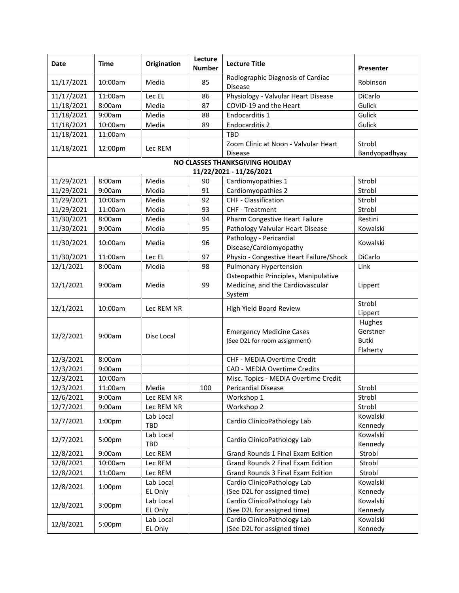| Date       | Time               | Origination      | Lecture<br><b>Number</b> | <b>Lecture Title</b>                                | Presenter     |
|------------|--------------------|------------------|--------------------------|-----------------------------------------------------|---------------|
| 11/17/2021 | 10:00am            | Media            | 85                       | Radiographic Diagnosis of Cardiac<br><b>Disease</b> | Robinson      |
| 11/17/2021 | 11:00am            | Lec EL           | 86                       | Physiology - Valvular Heart Disease                 | DiCarlo       |
| 11/18/2021 | 8:00am             | Media            | 87                       | COVID-19 and the Heart                              | Gulick        |
| 11/18/2021 | 9:00am             | Media            | 88                       | Endocarditis 1                                      | Gulick        |
| 11/18/2021 | 10:00am            | Media            | 89                       | Endocarditis 2                                      | Gulick        |
| 11/18/2021 | 11:00am            |                  |                          | <b>TBD</b>                                          |               |
|            |                    |                  |                          | Zoom Clinic at Noon - Valvular Heart                | Strobl        |
| 11/18/2021 | 12:00pm            | Lec REM          |                          | <b>Disease</b>                                      | Bandyopadhyay |
|            |                    |                  |                          | NO CLASSES THANKSGIVING HOLIDAY                     |               |
|            |                    |                  |                          | 11/22/2021 - 11/26/2021                             |               |
| 11/29/2021 | 8:00am             | Media            | 90                       | Cardiomyopathies 1                                  | Strobl        |
| 11/29/2021 | 9:00am             | Media            | 91                       | Cardiomyopathies 2                                  | Strobl        |
| 11/29/2021 | 10:00am            | Media            | 92                       | CHF - Classification                                | Strobl        |
| 11/29/2021 | 11:00am            | Media            | 93                       | CHF - Treatment                                     | Strobl        |
| 11/30/2021 | 8:00am             | Media            | 94                       | Pharm Congestive Heart Failure                      | Restini       |
| 11/30/2021 | 9:00am             | Media            | 95                       | Pathology Valvular Heart Disease                    | Kowalski      |
|            |                    |                  |                          | Pathology - Pericardial                             |               |
| 11/30/2021 | 10:00am            | Media            | 96                       | Disease/Cardiomyopathy                              | Kowalski      |
| 11/30/2021 | 11:00am            | Lec EL           | 97                       | Physio - Congestive Heart Failure/Shock             | DiCarlo       |
| 12/1/2021  | 8:00am             | Media            | 98                       | <b>Pulmonary Hypertension</b>                       | Link          |
|            |                    |                  |                          | Osteopathic Principles, Manipulative                |               |
| 12/1/2021  | 9:00am             | Media            | 99                       | Medicine, and the Cardiovascular                    | Lippert       |
|            |                    |                  |                          | System                                              |               |
|            | 10:00am            |                  |                          |                                                     | Strobl        |
| 12/1/2021  |                    | Lec REM NR       |                          | High Yield Board Review                             | Lippert       |
|            |                    |                  |                          |                                                     | Hughes        |
| 12/2/2021  | 9:00am             | Disc Local       |                          | <b>Emergency Medicine Cases</b>                     | Gerstner      |
|            |                    |                  |                          | (See D2L for room assignment)                       | Butki         |
|            |                    |                  |                          |                                                     | Flaherty      |
| 12/3/2021  | 8:00am             |                  |                          | CHF - MEDIA Overtime Credit                         |               |
| 12/3/2021  | 9:00am             |                  |                          | CAD - MEDIA Overtime Credits                        |               |
| 12/3/2021  | 10:00am            |                  |                          | Misc. Topics - MEDIA Overtime Credit                |               |
| 12/3/2021  | 11:00am            | Media            | 100                      | <b>Pericardial Disease</b>                          | Strobl        |
| 12/6/2021  | 9:00am             | Lec REM NR       |                          | Workshop 1                                          | Strobl        |
| 12/7/2021  | 9:00am             | Lec REM NR       |                          | Workshop 2                                          | Strobl        |
| 12/7/2021  |                    | Lab Local<br>TBD |                          | Cardio ClinicoPathology Lab                         | Kowalski      |
|            | 1:00 <sub>pm</sub> |                  |                          |                                                     | Kennedy       |
| 12/7/2021  | 5:00pm             | Lab Local<br>TBD |                          | Cardio ClinicoPathology Lab                         | Kowalski      |
|            |                    |                  |                          |                                                     | Kennedy       |
| 12/8/2021  | 9:00am             | Lec REM          |                          | Grand Rounds 1 Final Exam Edition                   | Strobl        |
| 12/8/2021  | 10:00am            | Lec REM          |                          | Grand Rounds 2 Final Exam Edition                   | Strobl        |
| 12/8/2021  | 11:00am            | Lec REM          |                          | Grand Rounds 3 Final Exam Edition                   | Strobl        |
|            |                    | Lab Local        |                          | Cardio ClinicoPathology Lab                         | Kowalski      |
| 12/8/2021  | 1:00 <sub>pm</sub> | EL Only          |                          | (See D2L for assigned time)                         | Kennedy       |
|            |                    | Lab Local        |                          | Cardio ClinicoPathology Lab                         | Kowalski      |
| 12/8/2021  | 3:00pm             | EL Only          |                          | (See D2L for assigned time)                         | Kennedy       |
|            | 5:00pm             | Lab Local        |                          | Cardio ClinicoPathology Lab                         | Kowalski      |
| 12/8/2021  |                    | EL Only          |                          | (See D2L for assigned time)                         | Kennedy       |